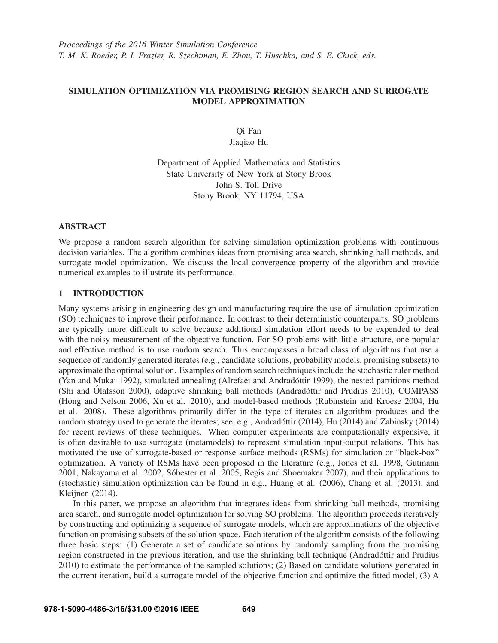# SIMULATION OPTIMIZATION VIA PROMISING REGION SEARCH AND SURROGATE MODEL APPROXIMATION

Qi Fan Jiaqiao Hu

Department of Applied Mathematics and Statistics State University of New York at Stony Brook John S. Toll Drive Stony Brook, NY 11794, USA

## ABSTRACT

We propose a random search algorithm for solving simulation optimization problems with continuous decision variables. The algorithm combines ideas from promising area search, shrinking ball methods, and surrogate model optimization. We discuss the local convergence property of the algorithm and provide numerical examples to illustrate its performance.

# 1 INTRODUCTION

Many systems arising in engineering design and manufacturing require the use of simulation optimization (SO) techniques to improve their performance. In contrast to their deterministic counterparts, SO problems are typically more difficult to solve because additional simulation effort needs to be expended to deal with the noisy measurement of the objective function. For SO problems with little structure, one popular and effective method is to use random search. This encompasses a broad class of algorithms that use a sequence of randomly generated iterates (e.g., candidate solutions, probability models, promising subsets) to approximate the optimal solution. Examples of random search techniques include the stochastic ruler method (Yan and Mukai 1992), simulated annealing (Alrefaei and Andradóttir 1999), the nested partitions method (Shi and Ólafsson 2000), adaptive shrinking ball methods (Andradóttir and Prudius 2010), COMPASS (Hong and Nelson 2006, Xu et al. 2010), and model-based methods (Rubinstein and Kroese 2004, Hu et al. 2008). These algorithms primarily differ in the type of iterates an algorithm produces and the random strategy used to generate the iterates; see, e.g., Andradóttir (2014), Hu (2014) and Zabinsky (2014) for recent reviews of these techniques. When computer experiments are computationally expensive, it is often desirable to use surrogate (metamodels) to represent simulation input-output relations. This has motivated the use of surrogate-based or response surface methods (RSMs) for simulation or "black-box" optimization. A variety of RSMs have been proposed in the literature (e.g., Jones et al. 1998, Gutmann 2001, Nakayama et al. 2002, Sóbester et al. 2005, Regis and Shoemaker 2007), and their applications to (stochastic) simulation optimization can be found in e.g., Huang et al. (2006), Chang et al. (2013), and Kleijnen (2014).

In this paper, we propose an algorithm that integrates ideas from shrinking ball methods, promising area search, and surrogate model optimization for solving SO problems. The algorithm proceeds iteratively by constructing and optimizing a sequence of surrogate models, which are approximations of the objective function on promising subsets of the solution space. Each iteration of the algorithm consists of the following three basic steps: (1) Generate a set of candidate solutions by randomly sampling from the promising region constructed in the previous iteration, and use the shrinking ball technique (Andradottir and Prudius ´ 2010) to estimate the performance of the sampled solutions; (2) Based on candidate solutions generated in the current iteration, build a surrogate model of the objective function and optimize the fitted model; (3) A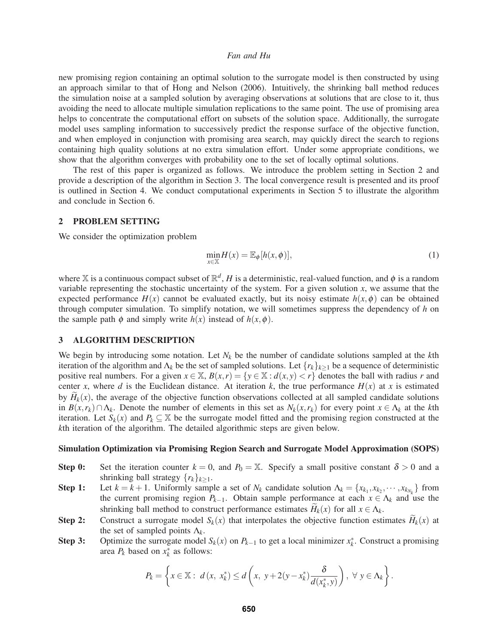new promising region containing an optimal solution to the surrogate model is then constructed by using an approach similar to that of Hong and Nelson (2006). Intuitively, the shrinking ball method reduces the simulation noise at a sampled solution by averaging observations at solutions that are close to it, thus avoiding the need to allocate multiple simulation replications to the same point. The use of promising area helps to concentrate the computational effort on subsets of the solution space. Additionally, the surrogate model uses sampling information to successively predict the response surface of the objective function, and when employed in conjunction with promising area search, may quickly direct the search to regions containing high quality solutions at no extra simulation effort. Under some appropriate conditions, we show that the algorithm converges with probability one to the set of locally optimal solutions.

The rest of this paper is organized as follows. We introduce the problem setting in Section 2 and provide a description of the algorithm in Section 3. The local convergence result is presented and its proof is outlined in Section 4. We conduct computational experiments in Section 5 to illustrate the algorithm and conclude in Section 6.

#### 2 PROBLEM SETTING

We consider the optimization problem

$$
\min_{x \in \mathbb{X}} H(x) = \mathbb{E}_{\phi}[h(x, \phi)],\tag{1}
$$

where X is a continuous compact subset of  $\mathbb{R}^d$ , *H* is a deterministic, real-valued function, and  $\phi$  is a random variable representing the stochastic uncertainty of the system. For a given solution *x*, we assume that the expected performance  $H(x)$  cannot be evaluated exactly, but its noisy estimate  $h(x, \phi)$  can be obtained through computer simulation. To simplify notation, we will sometimes suppress the dependency of *h* on the sample path  $\phi$  and simply write  $h(x)$  instead of  $h(x, \phi)$ .

# 3 ALGORITHM DESCRIPTION

We begin by introducing some notation. Let  $N_k$  be the number of candidate solutions sampled at the  $k$ th iteration of the algorithm and  $\Lambda_k$  be the set of sampled solutions. Let  $\{r_k\}_{k>1}$  be a sequence of deterministic positive real numbers. For a given  $x \in \mathbb{X}$ ,  $B(x, r) = \{y \in \mathbb{X} : d(x, y) < r\}$  denotes the ball with radius *r* and center *x*, where *d* is the Euclidean distance. At iteration *k*, the true performance  $H(x)$  at *x* is estimated by  $H_k(x)$ , the average of the objective function observations collected at all sampled candidate solutions in  $B(x, r_k) \cap \Lambda_k$ . Denote the number of elements in this set as  $N_k(x, r_k)$  for every point  $x \in \Lambda_k$  at the *k*th iteration. Let  $S_k(x)$  and  $P_k \subseteq \mathbb{X}$  be the surrogate model fitted and the promising region constructed at the *k*th iteration of the algorithm. The detailed algorithmic steps are given below.

#### Simulation Optimization via Promising Region Search and Surrogate Model Approximation (SOPS)

- **Step 0:** Set the iteration counter  $k = 0$ , and  $P_0 = \mathbb{X}$ . Specify a small positive constant  $\delta > 0$  and a shrinking ball strategy  $\{r_k\}_{k>1}$ .
- Step 1: Let  $k = k + 1$ . Uniformly sample a set of  $N_k$  candidate solution  $\Lambda_k = \{x_{k_1}, x_{k_2}, \dots, x_{k_{N_k}}\}$  from the current promising region  $P_{k-1}$ . Obtain sample performance at each  $x \in \Lambda_k$  and use the shrinking ball method to construct performance estimates  $H_k(x)$  for all  $x \in \Lambda_k$ .
- **Step 2:** Construct a surrogate model  $S_k(x)$  that interpolates the objective function estimates  $H_k(x)$  at the set of sampled points  $\Lambda_k$ .
- Step 3: Optimize the surrogate model  $S_k(x)$  on  $P_{k-1}$  to get a local minimizer  $x_k^*$ . Construct a promising area  $P_k$  based on  $x_k^*$  as follows:

$$
P_k = \left\{ x \in \mathbb{X} : d(x, x_k^*) \le d\left(x, y + 2(y - x_k^*)\frac{\delta}{d(x_k^*, y)}\right), \ \forall \ y \in \Lambda_k \right\}.
$$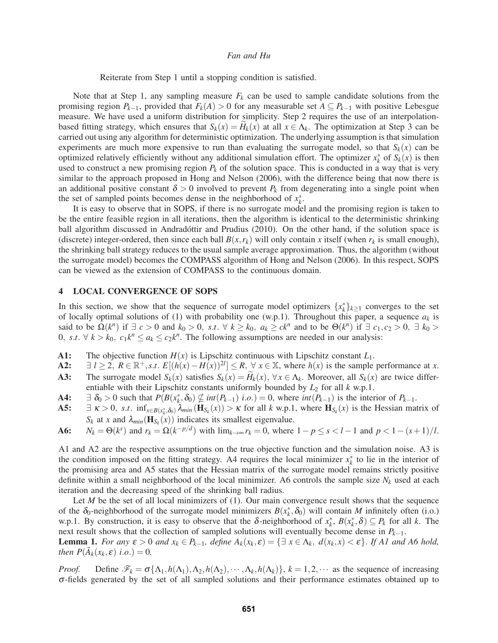Reiterate from Step 1 until a stopping condition is satisfied.

Note that at Step 1, any sampling measure  $F_k$  can be used to sample candidate solutions from the promising region  $P_{k-1}$ , provided that  $F_k(A) > 0$  for any measurable set  $A \subseteq P_{k-1}$  with positive Lebesgue measure. We have used a uniform distribution for simplicity. Step 2 requires the use of an interpolationbased fitting strategy, which ensures that  $S_k(x) = H_k(x)$  at all  $x \in \Lambda_k$ . The optimization at Step 3 can be carried out using any algorithm for deterministic optimization. The underlying assumption is that simulation experiments are much more expensive to run than evaluating the surrogate model, so that  $S_k(x)$  can be optimized relatively efficiently without any additional simulation effort. The optimizer  $x_k^*$  of  $S_k(x)$  is then used to construct a new promising region  $P_k$  of the solution space. This is conducted in a way that is very similar to the approach proposed in Hong and Nelson (2006), with the difference being that now there is an additional positive constant  $\delta > 0$  involved to prevent  $P_k$  from degenerating into a single point when the set of sampled points becomes dense in the neighborhood of  $x_k^*$ .

It is easy to observe that in SOPS, if there is no surrogate model and the promising region is taken to be the entire feasible region in all iterations, then the algorithm is identical to the deterministic shrinking ball algorithm discussed in Andradottir and Prudius (2010). On the other hand, if the solution space is (discrete) integer-ordered, then since each ball  $B(x, r_k)$  will only contain *x* itself (when  $r_k$  is small enough), the shrinking ball strategy reduces to the usual sample average approximation. Thus, the algorithm (without the surrogate model) becomes the COMPASS algorithm of Hong and Nelson (2006). In this respect, SOPS can be viewed as the extension of COMPASS to the continuous domain.

#### 4 LOCAL CONVERGENCE OF SOPS

In this section, we show that the sequence of surrogate model optimizers  $\{x_k^*\}_{k\geq 1}$  converges to the set of locally optimal solutions of (1) with probability one (w.p.1). Throughout this paper, a sequence  $a_k$  is said to be  $\Omega(k^n)$  if  $\exists c > 0$  and  $k_0 > 0$ , s.t.  $\forall k \geq k_0$ ,  $a_k \geq ck^n$  and to be  $\Theta(k^n)$  if  $\exists c_1, c_2 > 0$ ,  $\exists k_0 >$ 0, *s.t.*  $\forall k > k_0$ ,  $c_1 k^n \le a_k \le c_2 k^n$ . The following assumptions are needed in our analysis:

- A1: The objective function  $H(x)$  is Lipschitz continuous with Lipschitz constant  $L_1$ .<br>A2:  $\exists l > 2$ ,  $R \in \mathbb{R}^+, s.t. E[(h(x) H(x))^{2l}] < R$ ,  $\forall x \in \mathbb{X}$ , where  $h(x)$  is the sample
- A2:  $\exists l \ge 2$ ,  $R \in \mathbb{R}^+$ , *s.t.*  $E[(h(x) H(x))^{2l}] \le R$ ,  $\forall x \in \mathbb{X}$ , where  $h(x)$  is the sample performance at *x*.
- A3: The surrogate model  $S_k(x)$  satisfies  $S_k(x) = H_k(x)$ ,  $\forall x \in \Lambda_k$ . Moreover, all  $S_k(x)$  are twice differentiable with their Lipschitz constants uniformly bounded by  $L_2$  for all  $k$  w.p.1.
- A4:  $\exists \delta_0 > 0$  such that  $P(B(x_k^*, \delta_0)) \nsubseteq int(P_{k-1})$  *i.o.*) = 0, where *int*(*P<sub>k−1</sub>*) is the interior of *P<sub>k−1</sub>*.
- A5:  $\exists \kappa > 0$ , *s.t.*  $\inf_{x \in B(x_k^*, \delta_0)} \lambda_{min}(\mathbf{H}_{S_k}(x)) > \kappa$  for all *k* w.p.1, where  $\mathbf{H}_{S_k}(x)$  is the Hessian matrix of  $S_k$  at *x* and  $\lambda_{min}(\mathbf{H}_{S_k}(x))$  indicates its smallest eigenvalue.
- A6:  $N_k = \Theta(k^s)$  and  $r_k = \Omega(k^{-p/d})$  with  $\lim_{k \to \infty} r_k = 0$ , where  $1 p \le s < l 1$  and  $p < 1 (s + 1)/l$ .

A1 and A2 are the respective assumptions on the true objective function and the simulation noise. A3 is the condition imposed on the fitting strategy. A4 requires the local minimizer *x*∗ *<sup>k</sup>* to lie in the interior of the promising area and A5 states that the Hessian matrix of the surrogate model remains strictly positive definite within a small neighborhood of the local minimizer. A6 controls the sample size *Nk* used at each iteration and the decreasing speed of the shrinking ball radius.

Let *M* be the set of all local minimizers of (1). Our main convergence result shows that the sequence of the  $\delta_0$ -neighborhood of the surrogate model minimizers  $B(x_k^*, \delta_0)$  will contain *M* infinitely often (i.o.) w.p.1. By construction, it is easy to observe that the  $\delta$ -neighborhood of  $x_k^*$ ,  $B(x_k^*, \delta) \subseteq P_k$  for all k. The next result shows that the collection of sampled solutions will eventually become dense in *Pk*−1.

**Lemma 1.** For any  $\varepsilon > 0$  and  $x_k \in P_{k-1}$ , define  $A_k(x_k, \varepsilon) = \{\exists x \in \Lambda_k, d(x_k, x) < \varepsilon\}$ . If A1 and A6 hold, *then*  $P(\bar{A}_k(x_k, \varepsilon)$  *i.o.*) = 0.

*Proof.* Define  $\mathcal{F}_k = \sigma\{\Lambda_1, h(\Lambda_1), \Lambda_2, h(\Lambda_2), \cdots, \Lambda_k, h(\Lambda_k)\}, k = 1, 2, \cdots$  as the sequence of increasing σ-fields generated by the set of all sampled solutions and their performance estimates obtained up to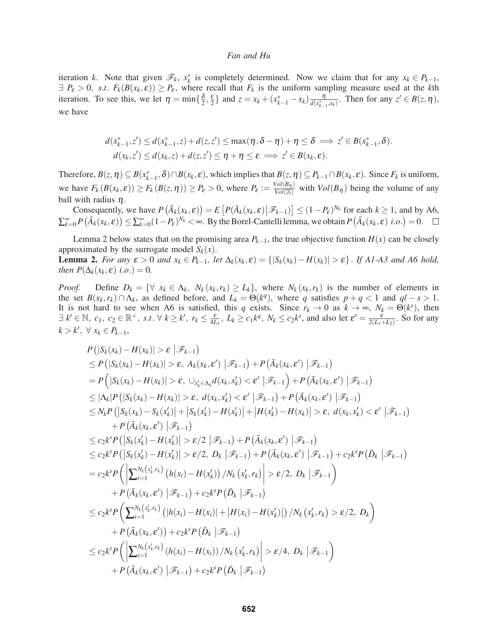iteration *k*. Note that given  $\mathcal{F}_k$ ,  $x_k^*$  is completely determined. Now we claim that for any  $x_k \in P_{k-1}$ ,  $\exists P_{\varepsilon} > 0$ , *s.t.*  $F_k(B(x_k, \varepsilon)) \ge P_{\varepsilon}$ , where recall that  $F_k$  is the uniform sampling measure used at the *k*th iteration. To see this, we let  $\eta = \min\{\frac{\delta}{2}, \frac{\epsilon}{2}\}\$  and  $z = x_k + (x_{k-1}^* - x_k) \frac{\eta}{d(x_{k-1}^*, x_k)}\$ . Then for any  $z' \in B(z, \eta)$ , we have

$$
d(x_{k-1}^*,z') \leq d(x_{k-1}^*,z) + d(z,z') \leq \max(\eta,\delta-\eta) + \eta \leq \delta \implies z' \in B(x_{k-1}^*,\delta).
$$
  

$$
d(x_k,z') \leq d(x_k,z) + d(z,z') \leq \eta + \eta \leq \varepsilon \implies z' \in B(x_k,\varepsilon).
$$

Therefore,  $B(z, \eta) \subseteq B(x_{k-1}^*, \delta) \cap B(x_k, \varepsilon)$ , which implies that  $B(z, \eta) \subseteq P_{k-1} \cap B(x_k, \varepsilon)$ . Since  $F_k$  is uniform, we have  $F_k(B(x_k, \varepsilon)) \ge F_k(B(z, \eta)) \ge P_\varepsilon > 0$ , where  $P_\varepsilon := \frac{Vol(B_\eta)}{Vol(\mathbb{X})}$  with  $Vol(B_\eta)$  being the volume of any ball with radius  $\eta$ .

Consequently, we have  $P(\bar{A}_k(x_k, \varepsilon)) = E[P(\bar{A}_k(x_k, \varepsilon)|\mathcal{F}_{k-1})] \leq (1 - P_{\varepsilon})^{N_k}$  for each  $k \geq 1$ , and by A6,  $\sum_{k=0}^{\infty} P(\bar{A}_k(x_k, \varepsilon)) \leq \sum_{k=0}^{\infty} (1 - P_{\varepsilon})^{N_k} < \infty$ . By the Borel-Cantelli lemma, we obtain  $P(\bar{A}_k(x_k, \varepsilon))$  *i.o.*) = 0.

Lemma 2 below states that on the promising area  $P_{k-1}$ , the true objective function  $H(x)$  can be closely approximated by the surrogate model  $S_k(x)$ . **Lemma 2.** For any  $\varepsilon > 0$  and  $x_k \in P_{k-1}$ , let  $\Delta_k(x_k, \varepsilon) = \{ |S_k(x_k) - H(x_k)| > \varepsilon \}$ . If A1-A3 and A6 hold,

*then*  $P(\Delta_k(x_k, \varepsilon)$  *i.o.*) = 0*.* 

*Proof.* Define  $D_k = \{ \forall x_k \in \Lambda_k, N_k(x_k, r_k) \ge L_k \}$ , where  $N_k(x_k, r_k)$  is the number of elements in the set  $B(x_k, r_k) \cap \Lambda_k$ , as defined before, and  $L_k = \Theta(k^q)$ , where *q* satisfies  $p + q < 1$  and  $ql - s > 1$ . It is not hard to see when A6 is satisfied, this *q* exists. Since  $r_k \to 0$  as  $k \to \infty$ ,  $N_k = \Theta(k^s)$ , then  $\exists k' \in \mathbb{N}, c_1, c_2 \in \mathbb{R}^+, s.t. \forall k \geq k', r_k \leq \frac{\varepsilon}{4L_1}, L_k \geq c_1 k^q, N_k \leq c_2 k^s$ , and also let  $\varepsilon' = \frac{\varepsilon}{2(L_1 + L_2)}$ . So for any  $k > k'$ , ∀  $x_k \in P_{k-1}$ ,

$$
P(|S_k(x_k) - H(x_k)| > \varepsilon |\mathcal{F}_{k-1})
$$
  
\n
$$
\leq P(|S_k(x_k) - H(x_k)| > \varepsilon, A_k(x_k, \varepsilon') |\mathcal{F}_{k-1}) + P(\bar{A}_k(x_k, \varepsilon') |\mathcal{F}_{k-1})
$$
  
\n
$$
= P(|S_k(x_k) - H(x_k)| > \varepsilon, \cup_{x'_k \in A_k} d(x_k, x'_k) < \varepsilon' |\mathcal{F}_{k-1}) + P(\bar{A}_k(x_k, \varepsilon') |\mathcal{F}_{k-1})
$$
  
\n
$$
\leq |\Delta_k| P(|S_k(x_k) - H(x_k)| > \varepsilon, d(x_k, x'_k) < \varepsilon' |\mathcal{F}_{k-1}) + P(\bar{A}_k(x_k, \varepsilon') |\mathcal{F}_{k-1})
$$
  
\n
$$
\leq N_k P(|S_k(x_k) - S_k(x'_k)| + |S_k(x'_k) - H(x'_k)| + |H(x'_k) - H(x_k)| > \varepsilon, d(x_k, x'_k) < \varepsilon' |\mathcal{F}_{k-1})
$$
  
\n
$$
+ P(\bar{A}_k(x_k, \varepsilon') |\mathcal{F}_{k-1})
$$
  
\n
$$
\leq c_2 k^s P(|S_k(x'_k) - H(x'_k)| > \varepsilon/2 |\mathcal{F}_{k-1}) + P(\bar{A}_k(x_k, \varepsilon') |\mathcal{F}_{k-1})
$$
  
\n
$$
\leq c_2 k^s P(|S_k(x'_k) - H(x'_k)| > \varepsilon/2, D_k |\mathcal{F}_{k-1}) + P(\bar{A}_k(x_k, \varepsilon') |\mathcal{F}_{k-1}) + c_2 k^s P(\bar{D}_k |\mathcal{F}_{k-1})
$$
  
\n
$$
= c_2 k^s P(|\sum_{i=1}^{N_k(x'_k, r_k)} (h(x_i) - H(x'_k)) / N_k(x'_k, r_k)| > \varepsilon/2, D_k |\mathcal{F}_{k-1})
$$
  
\n
$$
+ P(\bar{A}_k(x_k, \varepsilon') |\mathcal{F}_{k-1}) + c_2 k^s P(\bar{D}_k |\mathcal{F}_{k-1})
$$
  
\n
$$
\leq c_2 k^s P(|\sum_{i=1}^{
$$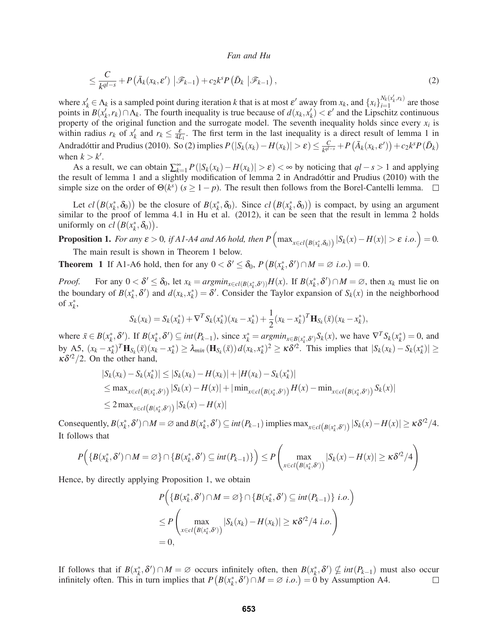$$
\leq \frac{C}{k^{ql-s}} + P\left(\bar{A}_k(x_k, \varepsilon') \, \left| \mathcal{F}_{k-1}\right) + c_2 k^s P\left(\bar{D}_k \, \left| \mathcal{F}_{k-1}\right),\right.\right) \tag{2}
$$

where  $x'_k \in \Lambda_k$  is a sampled point during iteration *k* that is at most  $\varepsilon'$  away from  $x_k$ , and  $\{x_i\}_{i=1}^{N_k(x'_k, r_k)}$  are those points in  $B(x_k', r_k) \cap \Lambda_k$ . The fourth inequality is true because of  $d(x_k, x_k') < \varepsilon'$  and the Lipschitz continuous property of the original function and the surrogate model. The seventh inequality holds since every  $x_i$  is within radius  $r_k$  of  $x'_k$  and  $r_k \leq \frac{\varepsilon}{4L_1}$ . The first term in the last inequality is a direct result of lemma 1 in Andradóttir and Prudius (2010). So (2) implies  $P(|S_k(x_k) - H(x_k)| > \varepsilon) \le \frac{C}{k^{q-1}} + P(\bar{A}_k(x_k, \varepsilon')) + c_2 k^s P(\bar{D}_k)$ when  $k > k'$ .

As a result, we can obtain  $\sum_{k=1}^{\infty} P(|S_k(x_k) - H(x_k)| > \varepsilon) < \infty$  by noticing that  $ql - s > 1$  and applying the result of lemma 1 and a slightly modification of lemma 2 in Andradottir and Prudius (2010) with the ´ simple size on the order of  $\Theta(k^s)$  ( $s \ge 1-p$ ). The result then follows from the Borel-Cantelli lemma.  $\Box$ 

Let  $cl(B(x_k^*, \delta_0))$  be the closure of  $B(x_k^*, \delta_0)$ . Since  $cl(B(x_k^*, \delta_0))$  is compact, by using an argument similar to the proof of lemma 4.1 in Hu et al. (2012), it can be seen that the result in lemma 2 holds uniformly on  $cl(B(x_k^*, \delta_0))$ .

**Proposition 1.** For any  $\varepsilon > 0$ , if A1-A4 and A6 hold, then  $P\left(\max_{x \in cl(B(x_k^*, \delta_0))} |S_k(x) - H(x)| > \varepsilon$  i.o.) = 0. The main result is shown in Theorem 1 below.

**Theorem 1** If A1-A6 hold, then for any  $0 < \delta' \leq \delta_0$ ,  $P(B(x_k^*, \delta') \cap M = \emptyset$  *i.o.*) = 0.

*Proof.* For any  $0 < \delta' \leq \delta_0$ , let  $x_k = \arg\min_{x \in cl(B(x_k^*, \delta'))} H(x)$ . If  $B(x_k^*, \delta') \cap M = \emptyset$ , then  $x_k$  must lie on the boundary of  $B(x_k^*, \delta')$  and  $d(x_k, x_k^*) = \delta'$ . Consider the Taylor expansion of  $S_k(x)$  in the neighborhood of  $x_k^*$ ,

$$
S_k(x_k) = S_k(x_k^*) + \nabla^T S_k(x_k^*)(x_k - x_k^*) + \frac{1}{2}(x_k - x_k^*)^T \mathbf{H}_{S_k}(\bar{x})(x_k - x_k^*),
$$

where  $\bar{x} \in B(x_k^*, \delta')$ . If  $B(x_k^*, \delta') \subseteq int(P_{k-1})$ , since  $x_k^* = \operatorname{argmin}_{x \in B(x_k^*, \delta')} S_k(x)$ , we have  $\nabla^T S_k(x_k^*) = 0$ , and by A5,  $(x_k - x_k^*)^T \mathbf{H}_{S_k}(\bar{x})(x_k - x_k^*) \geq \lambda_{min}(\mathbf{H}_{S_k}(\bar{x})) d(x_k, x_k^*)^2 \geq \kappa \delta'^2$ . This implies that  $|S_k(x_k) - S_k(x_k^*)| \geq$  $\kappa \delta^{2}/2$ . On the other hand,

$$
|S_k(x_k) - S_k(x_k^*)| \le |S_k(x_k) - H(x_k)| + |H(x_k) - S_k(x_k^*)|
$$
  
\n
$$
\le \max_{x \in cl(B(x_k^*, \delta'))} |S_k(x) - H(x)| + |\min_{x \in cl(B(x_k^*, \delta'))} H(x) - \min_{x \in cl(B(x_k^*, \delta'))} S_k(x)|
$$
  
\n
$$
\le 2 \max_{x \in cl(B(x_k^*, \delta'))} |S_k(x) - H(x)|
$$

Consequently,  $B(x_k^*, \delta') \cap M = \emptyset$  and  $B(x_k^*, \delta') \subseteq int(P_{k-1})$  implies  $\max_{x \in cl(B(x_k^*, \delta'))} |S_k(x) - H(x)| \ge \kappa \delta'^2/4$ . It follows that

$$
P\Big(\{B(x_k^*,\delta')\cap M=\varnothing\}\cap\{B(x_k^*,\delta')\subseteq int(P_{k-1})\}\Big)\leq P\left(\max_{x\in cl(B(x_k^*,\delta'))}|S_k(x)-H(x)|\geq \kappa\delta'^2/4\right)
$$

Hence, by directly applying Proposition 1, we obtain

$$
P\Big(\{B(x_k^*, \delta') \cap M = \varnothing\} \cap \{B(x_k^*, \delta') \subseteq int(P_{k-1})\} \ i.o.\Big)
$$
  
\n
$$
\leq P\Big(\max_{x \in cl(B(x_k^*, \delta'))} |S_k(x_k) - H(x_k)| \geq \kappa \delta'^2 / 4 \ i.o.\Big)
$$
  
\n= 0,

If follows that if  $B(x_k^*, \delta') \cap M = \emptyset$  occurs infinitely often, then  $B(x_k^*, \delta') \nsubseteq int(P_{k-1})$  must also occur infinitely often. This in turn implies that  $P(B(x_k^*, \delta') \cap M = \emptyset$  *i.o.*) = 0 by Assumption A4.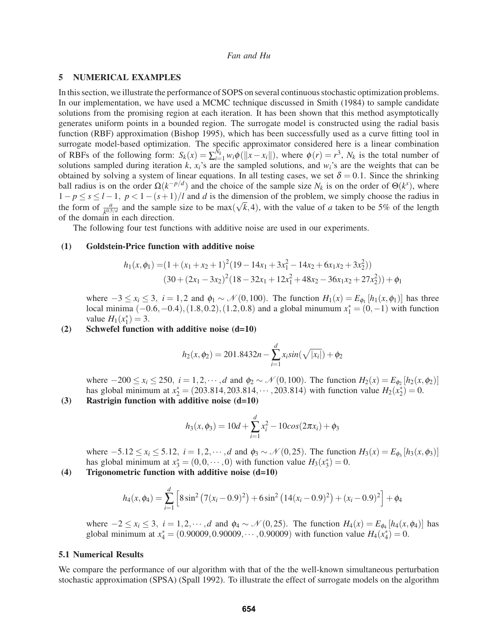## 5 NUMERICAL EXAMPLES

In this section, we illustrate the performance of SOPS on several continuous stochastic optimization problems. In our implementation, we have used a MCMC technique discussed in Smith (1984) to sample candidate solutions from the promising region at each iteration. It has been shown that this method asymptotically generates uniform points in a bounded region. The surrogate model is constructed using the radial basis function (RBF) approximation (Bishop 1995), which has been successfully used as a curve fitting tool in surrogate model-based optimization. The specific approximator considered here is a linear combination of RBFs of the following form:  $S_k(x) = \sum_{i=1}^{N_k} w_i \phi(||x - x_i||)$ , where  $\phi(r) = r^3$ ,  $N_k$  is the total number of solutions sampled during iteration  $k$ ,  $x_i$ 's are the sampled solutions, and  $w_i$ 's are the weights that can be obtained by solving a system of linear equations. In all testing cases, we set  $\delta = 0.1$ . Since the shrinking ball radius is on the order  $\Omega(k^{-p/d})$  and the choice of the sample size  $N_k$  is on the order of  $\Theta(k^s)$ , where  $1-p \le s \le l-1$ ,  $p < 1-(s+1)/l$  and *d* is the dimension of the problem, we simply choose the radius in the form of  $\frac{a}{k^{0.5/a}}$  and the sample size to be max( $\sqrt{k}$ ,4), with the value of *a* taken to be 5% of the length of the domain in each direction.

The following four test functions with additive noise are used in our experiments.

#### (1) Goldstein-Price function with additive noise

$$
h_1(x, \phi_1) = (1 + (x_1 + x_2 + 1)^2 (19 - 14x_1 + 3x_1^2 - 14x_2 + 6x_1x_2 + 3x_2^2))
$$
  

$$
(30 + (2x_1 - 3x_2)^2 (18 - 32x_1 + 12x_1^2 + 48x_2 - 36x_1x_2 + 27x_2^2)) + \phi_1
$$

where  $-3 \le x_i \le 3$ ,  $i = 1,2$  and  $\phi_1 \sim \mathcal{N}(0,100)$ . The function  $H_1(x) = E_{\phi_1}[h_1(x,\phi_1)]$  has three local minima  $(-0.6, -0.4), (1.8, 0.2), (1.2, 0.8)$  and a global minumum  $x_1^* = (0, -1)$  with function value  $H_1(x_1^*) = 3$ .

# (2) Schwefel function with additive noise (d=10)

$$
h_2(x, \phi_2) = 201.8432n - \sum_{i=1}^d x_i sin(\sqrt{|x_i|}) + \phi_2
$$

where  $-200 \le x_i \le 250$ ,  $i = 1, 2, \dots, d$  and  $\phi_2 \sim \mathcal{N}(0, 100)$ . The function  $H_2(x) = E_{\phi_2} [h_2(x, \phi_2)]$ has global minimum at  $x_2^* = (203.814, 203.814, \dots, 203.814)$  with function value  $H_2(x_2^*) = 0$ .

# (3) Rastrigin function with additive noise (d=10)

$$
h_3(x, \phi_3) = 10d + \sum_{i=1}^d x_i^2 - 10cos(2\pi x_i) + \phi_3
$$

where  $-5.12 \le x_i \le 5.12$ ,  $i = 1, 2, \dots, d$  and  $\phi_3 \sim \mathcal{N}(0, 25)$ . The function  $H_3(x) = E_{\phi_3} [h_3(x, \phi_3)]$ has global minimum at  $x_3^* = (0, 0, \dots, 0)$  with function value  $H_3(x_3^*) = 0$ .

(4) Trigonometric function with additive noise (d=10)

$$
h_4(x, \phi_4) = \sum_{i=1}^d \left[ 8\sin^2\left(7(x_i - 0.9)^2\right) + 6\sin^2\left(14(x_i - 0.9)^2\right) + (x_i - 0.9)^2\right] + \phi_4
$$

where  $-2 \le x_i \le 3$ ,  $i = 1, 2, \dots, d$  and  $\phi_4 \sim \mathcal{N}(0, 25)$ . The function  $H_4(x) = E_{\phi_4}[h_4(x, \phi_4)]$  has global minimum at  $x_4^* = (0.90009, 0.90009, \dots, 0.90009)$  with function value  $H_4(x_4^*) = 0$ .

#### 5.1 Numerical Results

We compare the performance of our algorithm with that of the the well-known simultaneous perturbation stochastic approximation (SPSA) (Spall 1992). To illustrate the effect of surrogate models on the algorithm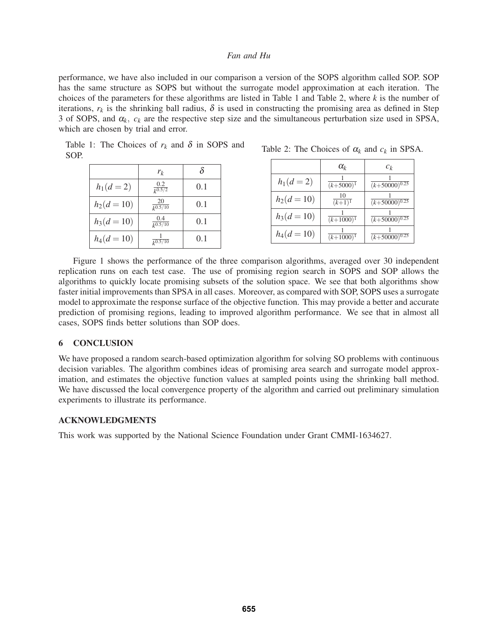performance, we have also included in our comparison a version of the SOPS algorithm called SOP. SOP has the same structure as SOPS but without the surrogate model approximation at each iteration. The choices of the parameters for these algorithms are listed in Table 1 and Table 2, where *k* is the number of iterations,  $r_k$  is the shrinking ball radius,  $\delta$  is used in constructing the promising area as defined in Step 3 of SOPS, and  $\alpha_k$ ,  $c_k$  are the respective step size and the simultaneous perturbation size used in SPSA, which are chosen by trial and error.

Table 1: The Choices of  $r_k$  and  $\delta$  in SOPS and SOP.

|             | $r_k$                        | δ   |
|-------------|------------------------------|-----|
| $h_1(d=2)$  | 0.2<br>$k^{0.5/2}$           | 0.1 |
| $h_2(d=10)$ | 20<br>$\frac{1}{k^{0.5/10}}$ | 0.1 |
| $h_3(d=10)$ | 0.4<br>$\sqrt{k^{0.5}/10}$   | 0.1 |
| $h_4(d=10)$ | $\sqrt{k^{0.5}/10}$          | 0.1 |

| Table 2: The Choices of $\alpha_k$ and $c_k$ in SPSA. |  |  |  |  |  |  |
|-------------------------------------------------------|--|--|--|--|--|--|
|-------------------------------------------------------|--|--|--|--|--|--|

|             | $\alpha_k$            | $c_k$                     |
|-------------|-----------------------|---------------------------|
| $h_1(d=2)$  | $\sqrt{(k+5000)^{1}}$ | $\sqrt{(k+50000)^{0.25}}$ |
| $h_2(d=10)$ | $\frac{10}{(k+1)^1}$  | $\sqrt{(k+50000)^{0.25}}$ |
| $h_3(d=10)$ | $(k+1000)^{1}$        | $(k+50000)^{0.25}$        |
| $h_4(d=10)$ | $(k+1000)^{1}$        | $(k+50000)^{0.25}$        |

Figure 1 shows the performance of the three comparison algorithms, averaged over 30 independent replication runs on each test case. The use of promising region search in SOPS and SOP allows the algorithms to quickly locate promising subsets of the solution space. We see that both algorithms show faster initial improvements than SPSA in all cases. Moreover, as compared with SOP, SOPS uses a surrogate model to approximate the response surface of the objective function. This may provide a better and accurate prediction of promising regions, leading to improved algorithm performance. We see that in almost all cases, SOPS finds better solutions than SOP does.

# 6 CONCLUSION

We have proposed a random search-based optimization algorithm for solving SO problems with continuous decision variables. The algorithm combines ideas of promising area search and surrogate model approximation, and estimates the objective function values at sampled points using the shrinking ball method. We have discussed the local convergence property of the algorithm and carried out preliminary simulation experiments to illustrate its performance.

# ACKNOWLEDGMENTS

This work was supported by the National Science Foundation under Grant CMMI-1634627.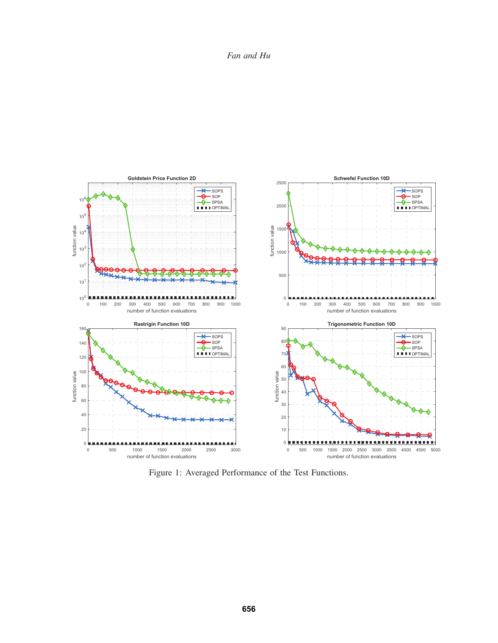*Fan and Hu*



Figure 1: Averaged Performance of the Test Functions.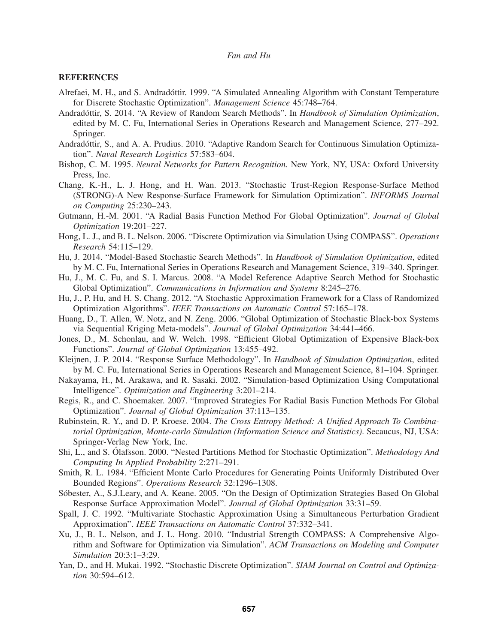### **REFERENCES**

- Alrefaei, M. H., and S. Andradóttir. 1999. "A Simulated Annealing Algorithm with Constant Temperature for Discrete Stochastic Optimization". *Management Science* 45:748–764.
- Andradóttir, S. 2014. "A Review of Random Search Methods". In *Handbook of Simulation Optimization*, edited by M. C. Fu, International Series in Operations Research and Management Science, 277–292. Springer.
- Andradottir, S., and A. A. Prudius. 2010. "Adaptive Random Search for Continuous Simulation Optimiza- ´ tion". *Naval Research Logistics* 57:583–604.
- Bishop, C. M. 1995. *Neural Networks for Pattern Recognition*. New York, NY, USA: Oxford University Press, Inc.
- Chang, K.-H., L. J. Hong, and H. Wan. 2013. "Stochastic Trust-Region Response-Surface Method (STRONG)-A New Response-Surface Framework for Simulation Optimization". *INFORMS Journal on Computing* 25:230–243.
- Gutmann, H.-M. 2001. "A Radial Basis Function Method For Global Optimization". *Journal of Global Optimization* 19:201–227.
- Hong, L. J., and B. L. Nelson. 2006. "Discrete Optimization via Simulation Using COMPASS". *Operations Research* 54:115–129.
- Hu, J. 2014. "Model-Based Stochastic Search Methods". In *Handbook of Simulation Optimization*, edited by M. C. Fu, International Series in Operations Research and Management Science, 319–340. Springer.
- Hu, J., M. C. Fu, and S. I. Marcus. 2008. "A Model Reference Adaptive Search Method for Stochastic Global Optimization". *Communications in Information and Systems* 8:245–276.
- Hu, J., P. Hu, and H. S. Chang. 2012. "A Stochastic Approximation Framework for a Class of Randomized Optimization Algorithms". *IEEE Transactions on Automatic Control* 57:165–178.
- Huang, D., T. Allen, W. Notz, and N. Zeng. 2006. "Global Optimization of Stochastic Black-box Systems via Sequential Kriging Meta-models". *Journal of Global Optimization* 34:441–466.
- Jones, D., M. Schonlau, and W. Welch. 1998. "Efficient Global Optimization of Expensive Black-box Functions". *Journal of Global Optimization* 13:455–492.
- Kleijnen, J. P. 2014. "Response Surface Methodology". In *Handbook of Simulation Optimization*, edited by M. C. Fu, International Series in Operations Research and Management Science, 81–104. Springer.
- Nakayama, H., M. Arakawa, and R. Sasaki. 2002. "Simulation-based Optimization Using Computational Intelligence". *Optimization and Engineering* 3:201–214.
- Regis, R., and C. Shoemaker. 2007. "Improved Strategies For Radial Basis Function Methods For Global Optimization". *Journal of Global Optimization* 37:113–135.
- Rubinstein, R. Y., and D. P. Kroese. 2004. *The Cross Entropy Method: A Unified Approach To Combinatorial Optimization, Monte-carlo Simulation (Information Science and Statistics)*. Secaucus, NJ, USA: Springer-Verlag New York, Inc.
- Shi, L., and S. Ólafsson. 2000. "Nested Partitions Method for Stochastic Optimization". *Methodology And Computing In Applied Probability* 2:271–291.
- Smith, R. L. 1984. "Efficient Monte Carlo Procedures for Generating Points Uniformly Distributed Over Bounded Regions". *Operations Research* 32:1296–1308.
- Sóbester, A., S.J.Leary, and A. Keane. 2005. "On the Design of Optimization Strategies Based On Global Response Surface Approximation Model". *Journal of Global Optimization* 33:31–59.
- Spall, J. C. 1992. "Multivariate Stochastic Approximation Using a Simultaneous Perturbation Gradient Approximation". *IEEE Transactions on Automatic Control* 37:332–341.
- Xu, J., B. L. Nelson, and J. L. Hong. 2010. "Industrial Strength COMPASS: A Comprehensive Algorithm and Software for Optimization via Simulation". *ACM Transactions on Modeling and Computer Simulation* 20:3:1–3:29.
- Yan, D., and H. Mukai. 1992. "Stochastic Discrete Optimization". *SIAM Journal on Control and Optimization* 30:594–612.